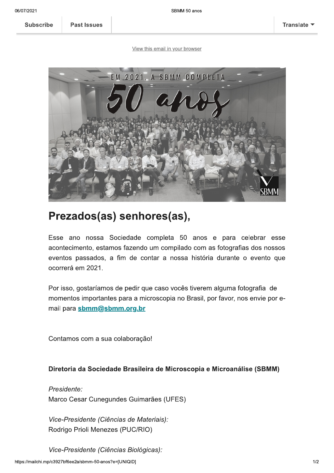Subscribe | Past Issues

<u>view this email in your prowser</u>



## Prezados(as) sennores(as),

Esse ano nossa Sociedade completa 50 anos e para celebrar esse acontecimento, estamos fazendo um compilado com as fotografías dos nossos eventos passados, a fim de contar a nossa historia durante o evento que ocorrera em 2021.

Por isso, gostariamos de pedir que caso voces tiverem alguma fotografía de . momentos importantes para a microscopia no Brasii, por favor, nos envie por emall para <u>sbmm@sbmm.org.br</u>

Contamos com a sua colaboração!

## Diretoria da Sociedade Brasileira de Microscopia e Microanalise (SBMM)

Presidente: marco Cesar Cunegundes Guimaraes (UFES)

residente (Ciencias de Materials):<br>o Prioli Menezes (PUC/RIO)<br>residente (Ciências Biológicas):<br>ee2a/sbmm-50-anos?e=[UNIQID] vice-Presidente (Ciencias de Materiais): Rodrigo Prioli Menezes (PUC/RIO)

vice-Presidente (Ciencias Biologicas):